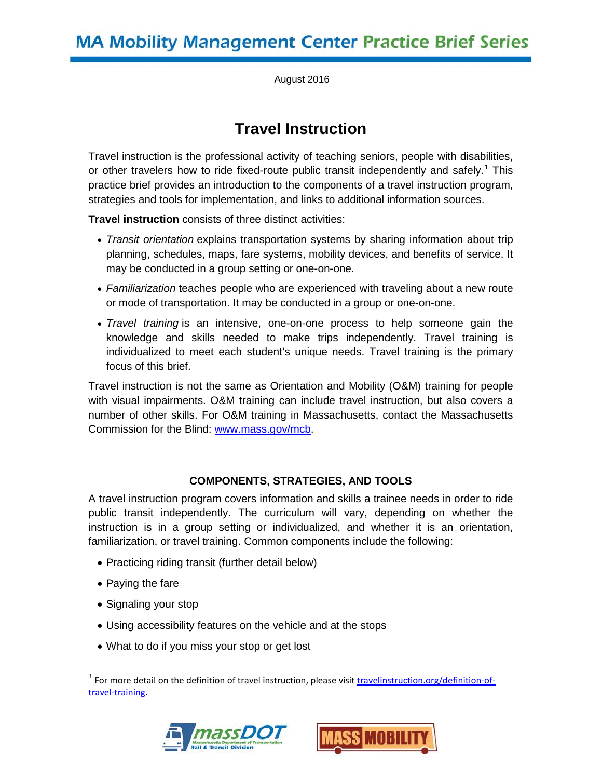August 2016

# **Travel Instruction**

Travel instruction is the professional activity of teaching seniors, people with disabilities, or other travelers how to ride fixed-route public transit independently and safely.<sup>[1](#page-0-0)</sup> This practice brief provides an introduction to the components of a travel instruction program, strategies and tools for implementation, and links to additional information sources.

**Travel instruction** consists of three distinct activities:

- *Transit orientation* explains transportation systems by sharing information about trip planning, schedules, maps, fare systems, mobility devices, and benefits of service. It may be conducted in a group setting or one-on-one.
- *Familiarization* teaches people who are experienced with traveling about a new route or mode of transportation. It may be conducted in a group or one-on-one.
- *Travel training* is an intensive, one-on-one process to help someone gain the knowledge and skills needed to make trips independently. Travel training is individualized to meet each student's unique needs. Travel training is the primary focus of this brief.

Travel instruction is not the same as Orientation and Mobility (O&M) training for people with visual impairments. O&M training can include travel instruction, but also covers a number of other skills. For O&M training in Massachusetts, contact the Massachusetts Commission for the Blind: [www.mass.gov/mcb.](http://www.mass.gov/mcb)

# **COMPONENTS, STRATEGIES, AND TOOLS**

A travel instruction program covers information and skills a trainee needs in order to ride public transit independently. The curriculum will vary, depending on whether the instruction is in a group setting or individualized, and whether it is an orientation, familiarization, or travel training. Common components include the following:

- Practicing riding transit (further detail below)
- Paying the fare
- Signaling your stop
- Using accessibility features on the vehicle and at the stops
- What to do if you miss your stop or get lost

<span id="page-0-0"></span> <sup>1</sup> For more detail on the definition of travel instruction, please visit [travelinstruction.org/definition-of](http://travelinstruction.org/definition-of-travel-training)[travel-training.](http://travelinstruction.org/definition-of-travel-training)



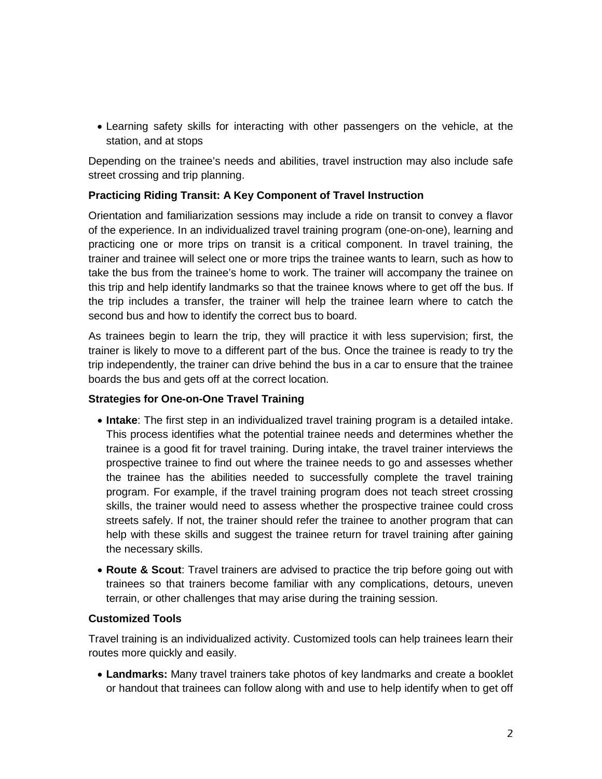• Learning safety skills for interacting with other passengers on the vehicle, at the station, and at stops

Depending on the trainee's needs and abilities, travel instruction may also include safe street crossing and trip planning.

## **Practicing Riding Transit: A Key Component of Travel Instruction**

Orientation and familiarization sessions may include a ride on transit to convey a flavor of the experience. In an individualized travel training program (one-on-one), learning and practicing one or more trips on transit is a critical component. In travel training, the trainer and trainee will select one or more trips the trainee wants to learn, such as how to take the bus from the trainee's home to work. The trainer will accompany the trainee on this trip and help identify landmarks so that the trainee knows where to get off the bus. If the trip includes a transfer, the trainer will help the trainee learn where to catch the second bus and how to identify the correct bus to board.

As trainees begin to learn the trip, they will practice it with less supervision; first, the trainer is likely to move to a different part of the bus. Once the trainee is ready to try the trip independently, the trainer can drive behind the bus in a car to ensure that the trainee boards the bus and gets off at the correct location.

#### **Strategies for One-on-One Travel Training**

- **Intake**: The first step in an individualized travel training program is a detailed intake. This process identifies what the potential trainee needs and determines whether the trainee is a good fit for travel training. During intake, the travel trainer interviews the prospective trainee to find out where the trainee needs to go and assesses whether the trainee has the abilities needed to successfully complete the travel training program. For example, if the travel training program does not teach street crossing skills, the trainer would need to assess whether the prospective trainee could cross streets safely. If not, the trainer should refer the trainee to another program that can help with these skills and suggest the trainee return for travel training after gaining the necessary skills.
- **Route & Scout**: Travel trainers are advised to practice the trip before going out with trainees so that trainers become familiar with any complications, detours, uneven terrain, or other challenges that may arise during the training session.

#### **Customized Tools**

Travel training is an individualized activity. Customized tools can help trainees learn their routes more quickly and easily.

• **Landmarks:** Many travel trainers take photos of key landmarks and create a booklet or handout that trainees can follow along with and use to help identify when to get off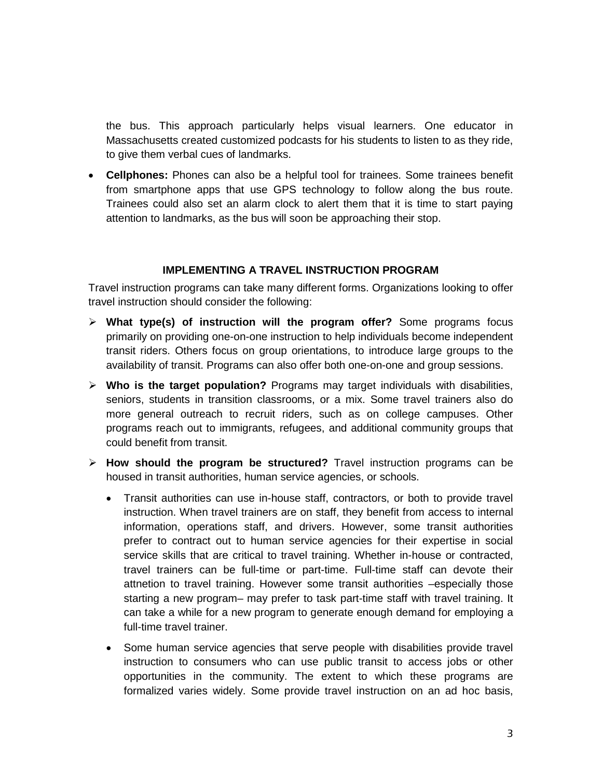the bus. This approach particularly helps visual learners. One educator in Massachusetts created customized podcasts for his students to listen to as they ride, to give them verbal cues of landmarks.

• **Cellphones:** Phones can also be a helpful tool for trainees. Some trainees benefit from smartphone apps that use GPS technology to follow along the bus route. Trainees could also set an alarm clock to alert them that it is time to start paying attention to landmarks, as the bus will soon be approaching their stop.

#### **IMPLEMENTING A TRAVEL INSTRUCTION PROGRAM**

Travel instruction programs can take many different forms. Organizations looking to offer travel instruction should consider the following:

- **What type(s) of instruction will the program offer?** Some programs focus primarily on providing one-on-one instruction to help individuals become independent transit riders. Others focus on group orientations, to introduce large groups to the availability of transit. Programs can also offer both one-on-one and group sessions.
- **Who is the target population?** Programs may target individuals with disabilities, seniors, students in transition classrooms, or a mix. Some travel trainers also do more general outreach to recruit riders, such as on college campuses. Other programs reach out to immigrants, refugees, and additional community groups that could benefit from transit.
- **How should the program be structured?** Travel instruction programs can be housed in transit authorities, human service agencies, or schools.
	- Transit authorities can use in-house staff, contractors, or both to provide travel instruction. When travel trainers are on staff, they benefit from access to internal information, operations staff, and drivers. However, some transit authorities prefer to contract out to human service agencies for their expertise in social service skills that are critical to travel training. Whether in-house or contracted, travel trainers can be full-time or part-time. Full-time staff can devote their attnetion to travel training. However some transit authorities –especially those starting a new program– may prefer to task part-time staff with travel training. It can take a while for a new program to generate enough demand for employing a full-time travel trainer.
	- Some human service agencies that serve people with disabilities provide travel instruction to consumers who can use public transit to access jobs or other opportunities in the community. The extent to which these programs are formalized varies widely. Some provide travel instruction on an ad hoc basis,